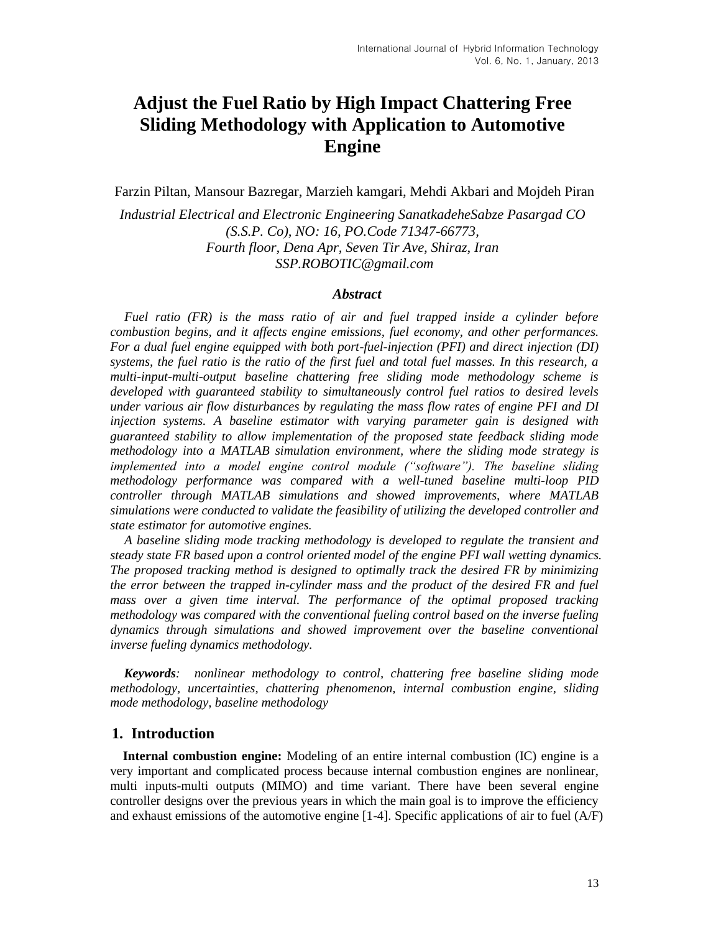# **Adjust the Fuel Ratio by High Impact Chattering Free Sliding Methodology with Application to Automotive Engine**

Farzin Piltan, Mansour Bazregar, Marzieh kamgari, Mehdi Akbari and Mojdeh Piran

*Industrial Electrical and Electronic Engineering SanatkadeheSabze Pasargad CO (S.S.P. Co), NO: 16, PO.Code 71347-66773, Fourth floor, Dena Apr, Seven Tir Ave, Shiraz, Iran SSP.ROBOTIC@gmail.com*

#### *Abstract*

*Fuel ratio (FR) is the mass ratio of air and fuel trapped inside a cylinder before combustion begins, and it affects engine emissions, fuel economy, and other performances. For a dual fuel engine equipped with both port-fuel-injection (PFI) and direct injection (DI) systems, the fuel ratio is the ratio of the first fuel and total fuel masses. In this research, a multi-input-multi-output baseline chattering free sliding mode methodology scheme is developed with guaranteed stability to simultaneously control fuel ratios to desired levels under various air flow disturbances by regulating the mass flow rates of engine PFI and DI injection systems. A baseline estimator with varying parameter gain is designed with guaranteed stability to allow implementation of the proposed state feedback sliding mode methodology into a MATLAB simulation environment, where the sliding mode strategy is implemented into a model engine control module ("software"). The baseline sliding methodology performance was compared with a well-tuned baseline multi-loop PID controller through MATLAB simulations and showed improvements, where MATLAB simulations were conducted to validate the feasibility of utilizing the developed controller and state estimator for automotive engines.* 

*A baseline sliding mode tracking methodology is developed to regulate the transient and steady state FR based upon a control oriented model of the engine PFI wall wetting dynamics. The proposed tracking method is designed to optimally track the desired FR by minimizing the error between the trapped in-cylinder mass and the product of the desired FR and fuel mass over a given time interval. The performance of the optimal proposed tracking methodology was compared with the conventional fueling control based on the inverse fueling dynamics through simulations and showed improvement over the baseline conventional inverse fueling dynamics methodology.*

*Keywords: nonlinear methodology to control, chattering free baseline sliding mode methodology, uncertainties, chattering phenomenon, internal combustion engine, sliding mode methodology, baseline methodology*

#### **1. Introduction**

**Internal combustion engine:** Modeling of an entire internal combustion (IC) engine is a very important and complicated process because internal combustion engines are nonlinear, multi inputs-multi outputs (MIMO) and time variant. There have been several engine controller designs over the previous years in which the main goal is to improve the efficiency and exhaust emissions of the automotive engine [1-4]. Specific applications of air to fuel (A/F)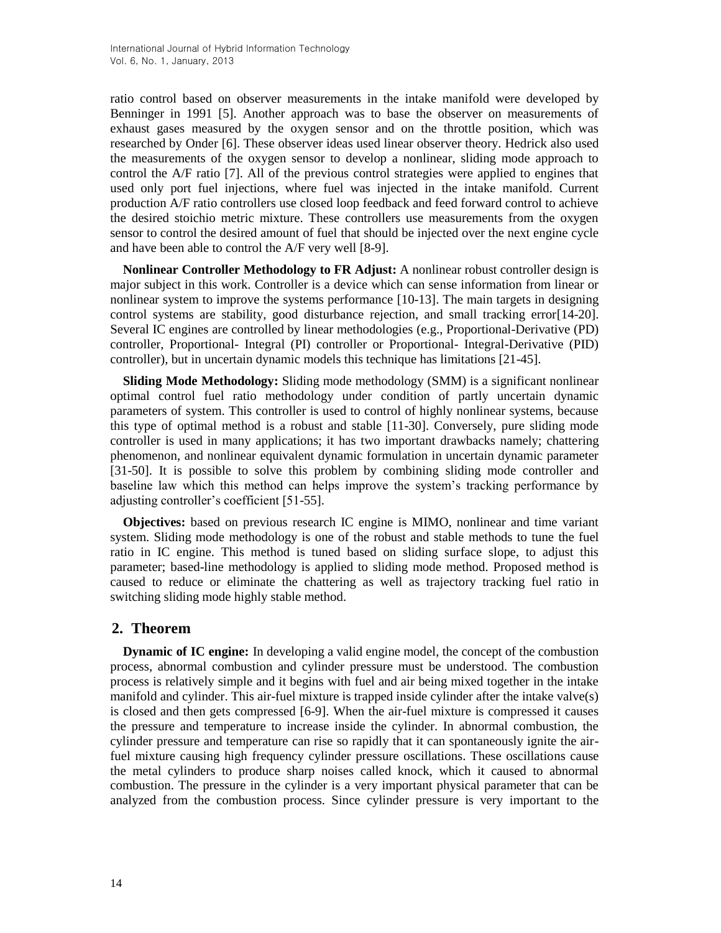ratio control based on observer measurements in the intake manifold were developed by Benninger in 1991 [5]. Another approach was to base the observer on measurements of exhaust gases measured by the oxygen sensor and on the throttle position, which was researched by Onder [6]. These observer ideas used linear observer theory. Hedrick also used the measurements of the oxygen sensor to develop a nonlinear, sliding mode approach to control the A/F ratio [7]. All of the previous control strategies were applied to engines that used only port fuel injections, where fuel was injected in the intake manifold. Current production A/F ratio controllers use closed loop feedback and feed forward control to achieve the desired stoichio metric mixture. These controllers use measurements from the oxygen sensor to control the desired amount of fuel that should be injected over the next engine cycle and have been able to control the A/F very well [8-9].

**Nonlinear Controller Methodology to FR Adjust:** A nonlinear robust controller design is major subject in this work. Controller is a device which can sense information from linear or nonlinear system to improve the systems performance [10-13]. The main targets in designing control systems are stability, good disturbance rejection, and small tracking error[14-20]. Several IC engines are controlled by linear methodologies (e.g., Proportional-Derivative (PD) controller, Proportional- Integral (PI) controller or Proportional- Integral-Derivative (PID) controller), but in uncertain dynamic models this technique has limitations [21-45].

**Sliding Mode Methodology:** Sliding mode methodology (SMM) is a significant nonlinear optimal control fuel ratio methodology under condition of partly uncertain dynamic parameters of system. This controller is used to control of highly nonlinear systems, because this type of optimal method is a robust and stable [11-30]. Conversely, pure sliding mode controller is used in many applications; it has two important drawbacks namely; chattering phenomenon, and nonlinear equivalent dynamic formulation in uncertain dynamic parameter [31-50]. It is possible to solve this problem by combining sliding mode controller and baseline law which this method can helps improve the system's tracking performance by adjusting controller's coefficient [51-55].

**Objectives:** based on previous research IC engine is MIMO, nonlinear and time variant system. Sliding mode methodology is one of the robust and stable methods to tune the fuel ratio in IC engine. This method is tuned based on sliding surface slope, to adjust this parameter; based-line methodology is applied to sliding mode method. Proposed method is caused to reduce or eliminate the chattering as well as trajectory tracking fuel ratio in switching sliding mode highly stable method.

# **2. Theorem**

**Dynamic of IC engine:** In developing a valid engine model, the concept of the combustion process, abnormal combustion and cylinder pressure must be understood. The combustion process is relatively simple and it begins with fuel and air being mixed together in the intake manifold and cylinder. This air-fuel mixture is trapped inside cylinder after the intake valve(s) is closed and then gets compressed [6-9]. When the air-fuel mixture is compressed it causes the pressure and temperature to increase inside the cylinder. In abnormal combustion, the cylinder pressure and temperature can rise so rapidly that it can spontaneously ignite the airfuel mixture causing high frequency cylinder pressure oscillations. These oscillations cause the metal cylinders to produce sharp noises called knock, which it caused to abnormal combustion. The pressure in the cylinder is a very important physical parameter that can be analyzed from the combustion process. Since cylinder pressure is very important to the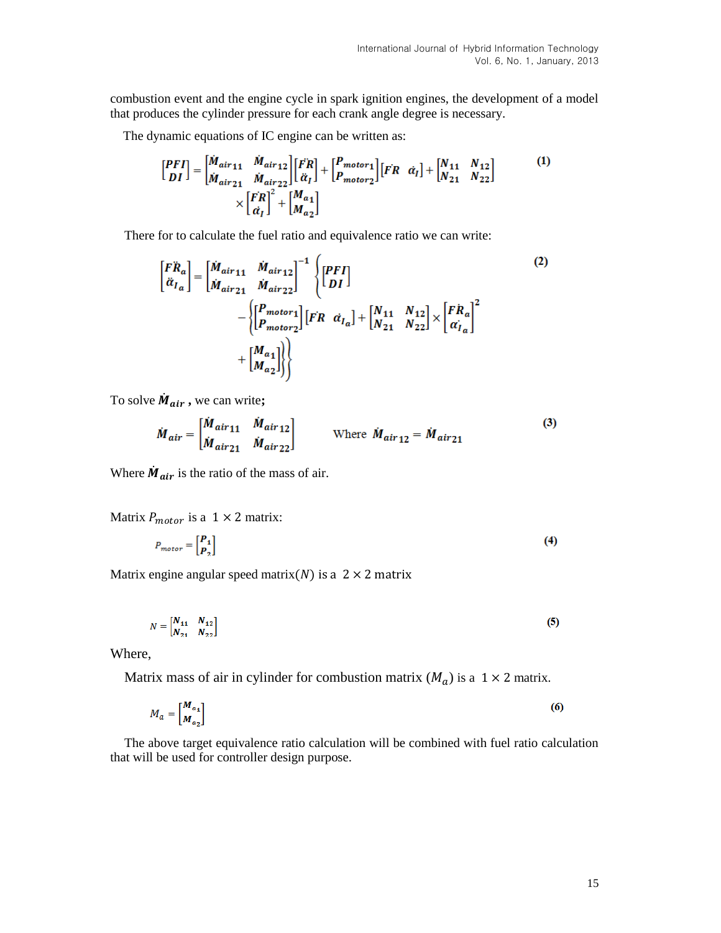combustion event and the engine cycle in spark ignition engines, the development of a model that produces the cylinder pressure for each crank angle degree is necessary.

The dynamic equations of IC engine can be written as:

$$
\begin{bmatrix} PFI \\ DI \end{bmatrix} = \begin{bmatrix} \dot{M}_{air11} & \dot{M}_{air12} \\ \dot{M}_{air21} & \dot{M}_{air22} \end{bmatrix} \begin{bmatrix} \ddot{F}R \\ \ddot{\alpha}_{I} \end{bmatrix} + \begin{bmatrix} P_{motor1} \\ P_{motor2} \end{bmatrix} \begin{bmatrix} FR & \dot{\alpha}_{I} \end{bmatrix} + \begin{bmatrix} N_{11} & N_{12} \\ N_{21} & N_{22} \end{bmatrix} \times \begin{bmatrix} \ddot{F}R \\ \ddot{\alpha}_{I} \end{bmatrix}^{2} + \begin{bmatrix} M_{a1} \\ M_{a2} \end{bmatrix}
$$
 (1)

There for to calculate the fuel ratio and equivalence ratio we can write:

$$
\begin{aligned}\n\begin{bmatrix}\nF\ddot{R}_a \\
\ddot{a}_{I_a}\n\end{bmatrix} &= \begin{bmatrix}\n\dot{M}_{air11} & \dot{M}_{air12} \\
\dot{M}_{air21} & \dot{M}_{air22}\n\end{bmatrix}^{-1} \begin{Bmatrix}\n\begin{bmatrix}\nPFI \\
DI\n\end{bmatrix} \\
& -\begin{Bmatrix}\n\begin{bmatrix}\nP_{motor1} \\
P_{motor2}\n\end{bmatrix}\n\end{bmatrix}\n\begin{bmatrix}\nFR & \dot{a}_{I_a}\n\end{bmatrix} + \begin{bmatrix}\nN_{11} & N_{12} \\
N_{21} & N_{22}\n\end{bmatrix} \times \begin{bmatrix}\nF\dot{R}_a \\
\dot{\alpha}_{I_a}\n\end{bmatrix}^2 \\
& + \begin{bmatrix}\nM_{a1} \\
M_{a2}\n\end{bmatrix}\n\end{bmatrix}\n\end{aligned}
$$
\n(2)

To solve  $\dot{M}_{air}$ , we can write;

$$
\dot{M}_{air} = \begin{bmatrix} \dot{M}_{air11} & \dot{M}_{air12} \\ \dot{M}_{air21} & \dot{M}_{air22} \end{bmatrix} \qquad \text{Where } \dot{M}_{air12} = \dot{M}_{air21} \tag{3}
$$

Where  $\dot{M}_{air}$  is the ratio of the mass of air.

Matrix  $P_{motor}$  is a 1  $\times$  2 matrix:

$$
P_{motor} = \begin{bmatrix} P_1 \\ P_2 \end{bmatrix} \tag{4}
$$

Matrix engine angular speed matrix(N) is a  $2 \times 2$  matrix

$$
N = \begin{bmatrix} N_{11} & N_{12} \\ N_{21} & N_{22} \end{bmatrix}
$$
 (5)

Where,

Matrix mass of air in cylinder for combustion matrix  $(M_a)$  is a 1  $\times$  2 matrix.

$$
M_a = \begin{bmatrix} M_{a_1} \\ M_{a_2} \end{bmatrix} \tag{6}
$$

The above target equivalence ratio calculation will be combined with fuel ratio calculation that will be used for controller design purpose.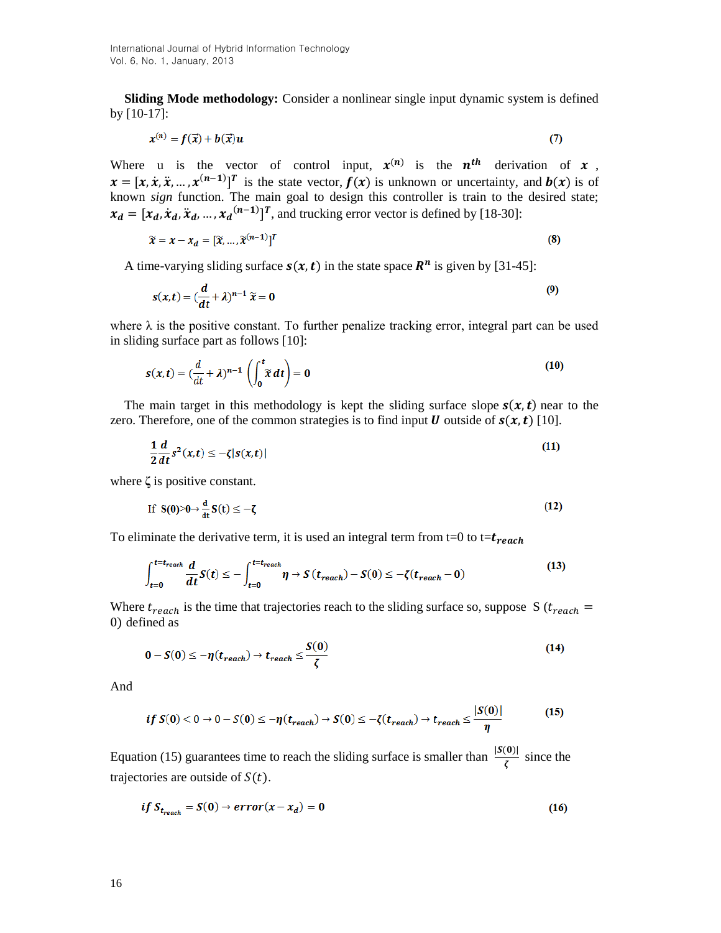**Sliding Mode methodology:** Consider a nonlinear single input dynamic system is defined by [10-17]:

$$
x^{(n)} = f(\vec{x}) + b(\vec{x})u \tag{7}
$$

Where u is the vector of control input,  $x^{(n)}$  is the  $n^{th}$  derivation of x,  $x = [x, \dot{x}, \ddot{x}, \dots, x^{(n-1)}]^T$  is the state vector,  $f(x)$  is unknown or uncertainty, and  $b(x)$  is of known *sign* function. The main goal to design this controller is train to the desired state;  $x_d = [x_d, \dot{x}_d, \ddot{x}_d, ..., x_d^{(n-1)}]^T$ , and trucking error vector is defined by [18-30]:

$$
\widetilde{\chi} = \chi - \chi_d = [\widetilde{\chi}, \dots, \widetilde{\chi}^{(n-1)}]^T
$$
\n(8)

A time-varying sliding surface  $s(x, t)$  in the state space  $\mathbb{R}^n$  is given by [31-45]:

$$
s(x,t) = \left(\frac{d}{dt} + \lambda\right)^{n-1} \widetilde{x} = 0
$$
\n(9)

where  $\lambda$  is the positive constant. To further penalize tracking error, integral part can be used in sliding surface part as follows [10]:

$$
s(x,t) = \left(\frac{d}{dt} + \lambda\right)^{n-1} \left(\int_0^t \tilde{x} dt\right) = 0
$$
\n(10)

The main target in this methodology is kept the sliding surface slope  $s(x, t)$  near to the zero. Therefore, one of the common strategies is to find input **U** outside of  $s(x, t)$  [10].

$$
\frac{1}{2}\frac{d}{dt}s^2(x,t) \le -\zeta|s(x,t)|\tag{11}
$$

where **ζ** is positive constant.

$$
\text{If } S(0) > 0 \to \frac{\mathrm{d}}{\mathrm{d}t} S(t) \le -\zeta \tag{12}
$$

To eliminate the derivative term, it is used an integral term from t=0 to t= $t_{reach}$ 

$$
\int_{t=0}^{t=t_{reach}} \frac{d}{dt} S(t) \leq -\int_{t=0}^{t=t_{reach}} \eta \to S(t_{reach}) - S(0) \leq -\zeta(t_{reach} - 0)
$$
\n(13)

Where  $t_{reach}$  is the time that trajectories reach to the sliding surface so, suppose S ( $t_{reach}$  = ) defined as

$$
0 - S(0) \le -\eta(t_{reach}) \to t_{reach} \le \frac{S(0)}{\zeta}
$$
 (14)

And

$$
if S(0) < 0 \rightarrow 0 - S(0) \le -\eta(t_{reach}) \rightarrow S(0) \le -\zeta(t_{reach}) \rightarrow t_{reach} \le \frac{|S(0)|}{\eta}
$$
 (15)

Equation (15) guarantees time to reach the sliding surface is smaller than  $\frac{|S(0)|}{\zeta}$  since the trajectories are outside of  $S(t)$ .

$$
if S_{t_{reach}} = S(0) \rightarrow error(x - x_d) = 0 \tag{16}
$$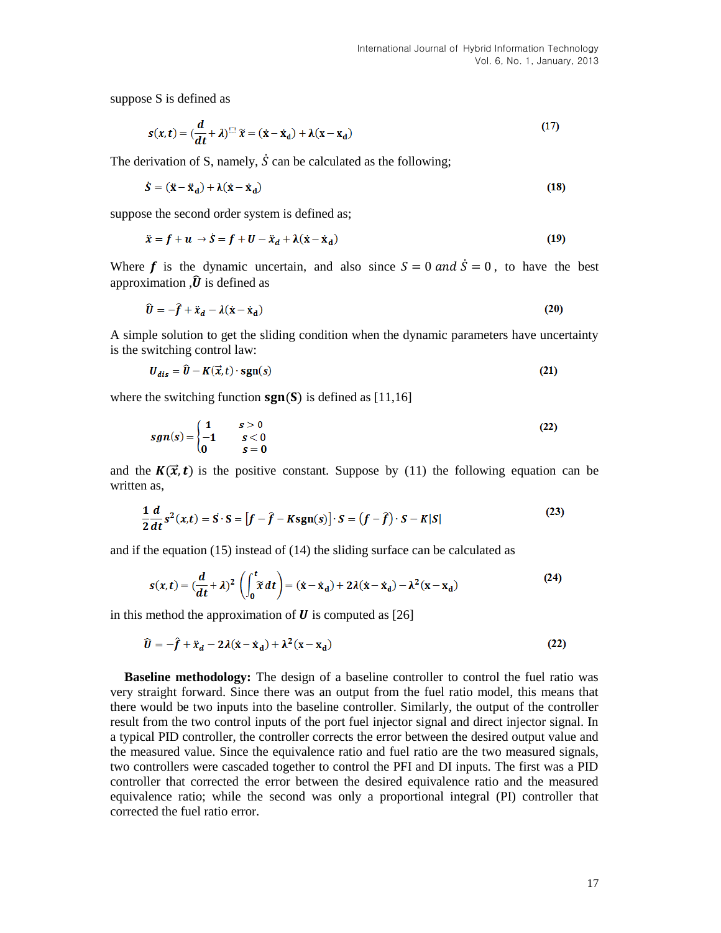suppose S is defined as

$$
s(x,t) = \left(\frac{d}{dt} + \lambda\right)^{\square} \widetilde{x} = (\dot{x} - \dot{x}_d) + \lambda(x - x_d)
$$
\n(17)

The derivation of S, namely,  $\dot{S}$  can be calculated as the following;

$$
\dot{S} = (\ddot{x} - \ddot{x}_d) + \lambda(\dot{x} - \dot{x}_d)
$$
\n(18)

suppose the second order system is defined as;

$$
\ddot{x} = f + u \rightarrow \dot{S} = f + U - \ddot{x}_d + \lambda(\dot{x} - \dot{x}_d)
$$
\n(19)

Where f is the dynamic uncertain, and also since  $S = 0$  and  $\dot{S} = 0$ , to have the best approximation  $\hat{U}$  is defined as

$$
\hat{U} = -\hat{f} + \ddot{x}_d - \lambda(\dot{x} - \dot{x}_d) \tag{20}
$$

A simple solution to get the sliding condition when the dynamic parameters have uncertainty is the switching control law:

$$
U_{dis} = \tilde{U} - K(\vec{x}, t) \cdot \text{sgn}(s) \tag{21}
$$

where the switching function  $sgn(S)$  is defined as [11,16]

$$
sgn(s) = \begin{cases} 1 & s > 0 \\ -1 & s < 0 \\ 0 & s = 0 \end{cases}
$$
 (22)

and the  $K(\vec{x}, t)$  is the positive constant. Suppose by (11) the following equation can be written as,

$$
\frac{1}{2}\frac{d}{dt}s^2(x,t) = \mathbf{S} \cdot \mathbf{S} = [f - \hat{f} - K\mathbf{sgn}(s)] \cdot \mathbf{S} = (f - \hat{f}) \cdot \mathbf{S} - K|\mathbf{S}|
$$
\n(23)

and if the equation (15) instead of (14) the sliding surface can be calculated as

$$
s(x,t) = \left(\frac{d}{dt} + \lambda\right)^2 \left(\int_0^t \tilde{x} dt\right) = (\dot{x} - \dot{x}_d) + 2\lambda(\dot{x} - \dot{x}_d) - \lambda^2(x - x_d)
$$
 (24)

in this method the approximation of  $\boldsymbol{U}$  is computed as [26]

$$
\hat{U} = -\hat{f} + \ddot{x}_d - 2\lambda(\dot{x} - \dot{x}_d) + \lambda^2(x - x_d)
$$
\n(22)

**Baseline methodology:** The design of a baseline controller to control the fuel ratio was very straight forward. Since there was an output from the fuel ratio model, this means that there would be two inputs into the baseline controller. Similarly, the output of the controller result from the two control inputs of the port fuel injector signal and direct injector signal. In a typical PID controller, the controller corrects the error between the desired output value and the measured value. Since the equivalence ratio and fuel ratio are the two measured signals, two controllers were cascaded together to control the PFI and DI inputs. The first was a PID controller that corrected the error between the desired equivalence ratio and the measured equivalence ratio; while the second was only a proportional integral (PI) controller that corrected the fuel ratio error.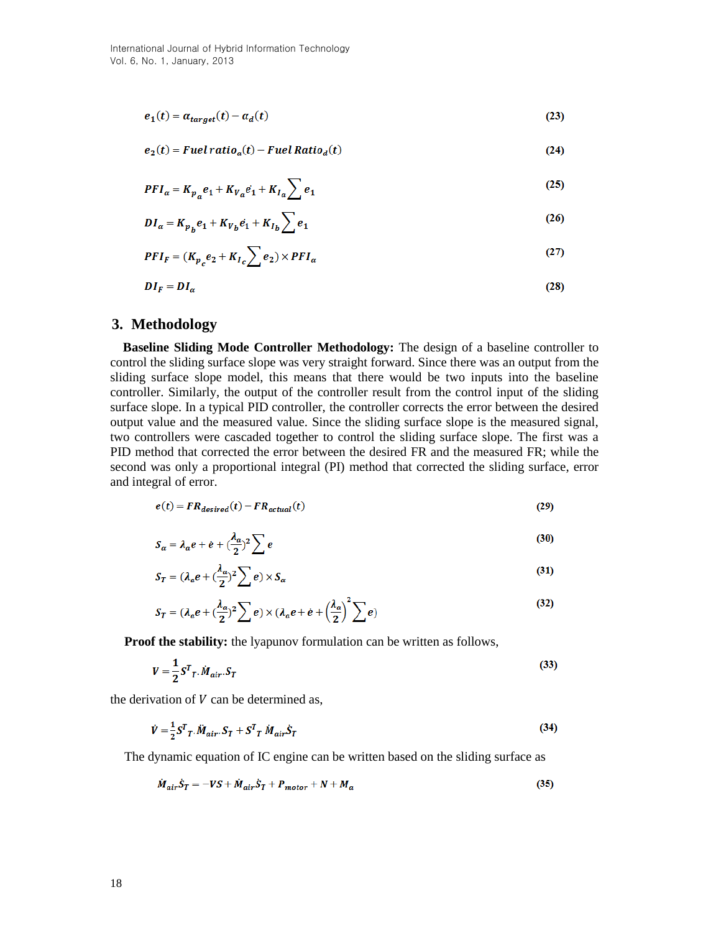$$
e_1(t) = \alpha_{target}(t) - \alpha_d(t) \tag{23}
$$

$$
e_2(t) = Fuel ratio_a(t) - Fuel Ratio_d(t)
$$
\n(24)

$$
PFI_a = K_{p_a}e_1 + K_{v_a}e_1 + K_{I_a} \sum e_1
$$
\n<sup>(25)</sup>

$$
DI_{\alpha} = K_{p_b}e_1 + K_{V_b}e_1 + K_{I_b} \sum e_1
$$
\n(26)

$$
PFI_F = (K_{p_c}e_2 + K_{I_c} \sum e_2) \times PFI_{\alpha}
$$
 (27)

$$
DI_F = DI_\alpha \tag{28}
$$

## **3. Methodology**

**Baseline Sliding Mode Controller Methodology:** The design of a baseline controller to control the sliding surface slope was very straight forward. Since there was an output from the sliding surface slope model, this means that there would be two inputs into the baseline controller. Similarly, the output of the controller result from the control input of the sliding surface slope. In a typical PID controller, the controller corrects the error between the desired output value and the measured value. Since the sliding surface slope is the measured signal, two controllers were cascaded together to control the sliding surface slope. The first was a PID method that corrected the error between the desired FR and the measured FR; while the second was only a proportional integral (PI) method that corrected the sliding surface, error and integral of error.

$$
e(t) = FR_{desired}(t) - FR_{actual}(t)
$$
\n(29)

$$
S_{\alpha} = \lambda_{\alpha} e + \dot{e} + (\frac{\lambda_{\alpha}}{2})^2 \sum e
$$
 (30)

$$
S_T = (\lambda_a e + (\frac{\lambda_a}{2})^2 \sum e) \times S_\alpha
$$
\n(31)

$$
S_T = (\lambda_a e + (\frac{\lambda_a}{2})^2 \sum e) \times (\lambda_a e + e + (\frac{\lambda_a}{2})^2 \sum e)
$$
 (32)

**Proof the stability:** the lyapunov formulation can be written as follows,

$$
V = \frac{1}{2}S^{T}T \cdot \dot{M}_{air} \cdot S_{T}
$$
\n
$$
(33)
$$

the derivation of  $V$  can be determined as,

$$
\dot{V} = \frac{1}{2}S^{T}{}_{T} \ddot{M}_{air} S_{T} + S^{T}{}_{T} \dot{M}_{air} \dot{S}_{T}
$$
\n
$$
(34)
$$

The dynamic equation of IC engine can be written based on the sliding surface as

$$
\dot{M}_{air}\dot{S}_T = -VS + \dot{M}_{air}\dot{S}_T + P_{motor} + N + M_a \tag{35}
$$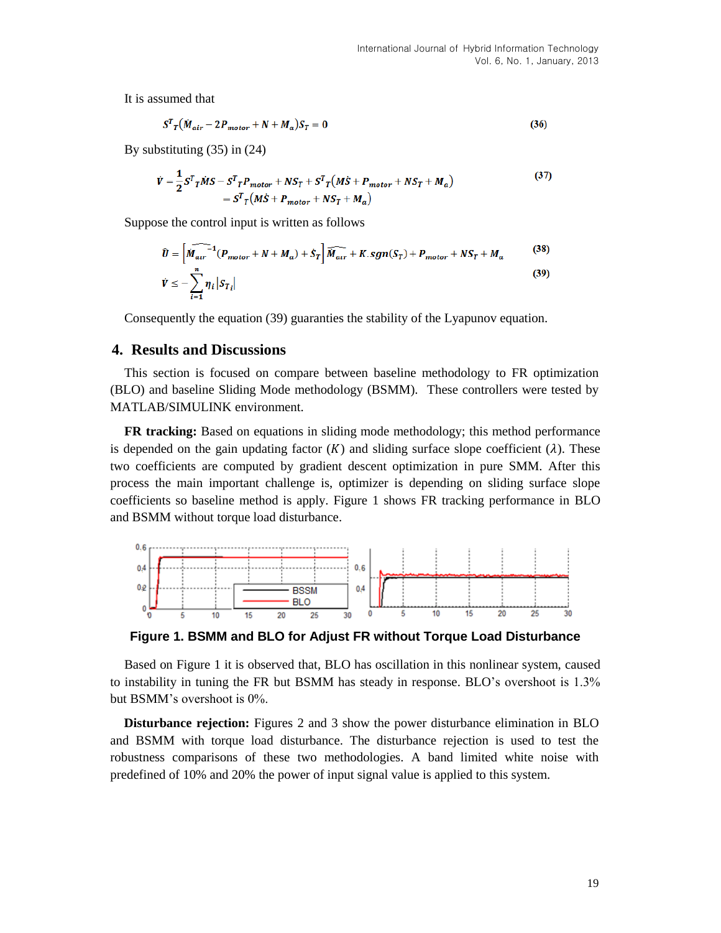It is assumed that

$$
S^{T}{}_{T}(\dot{M}_{air} - 2P_{motor} + N + M_{a})S_{T} = 0
$$
\n(36)

By substituting (35) in (24)

$$
\dot{V} = \frac{1}{2} S^T T \dot{M} S - S^T T P_{motor} + N S_T + S^T T (M \dot{S} + P_{motor} + N S_T + M_a)
$$
\n
$$
= S^T T (M \dot{S} + P_{motor} + N S_T + M_a)
$$
\n(37)

Suppose the control input is written as follows

$$
\widehat{U} = \left[ \widehat{M_{air}}^{-1} (P_{motor} + N + M_a) + \dot{S}_T \right] \widehat{M_{air}} + K. sgn(S_T) + P_{motor} + NS_T + M_a \tag{38}
$$
\n
$$
\dot{V} \le -\sum_{i=1}^n \eta_i |S_{T_i}| \tag{39}
$$

Consequently the equation (39) guaranties the stability of the Lyapunov equation.

### **4. Results and Discussions**

This section is focused on compare between baseline methodology to FR optimization (BLO) and baseline Sliding Mode methodology (BSMM).These controllers were tested by MATLAB/SIMULINK environment.

**FR tracking:** Based on equations in sliding mode methodology; this method performance is depended on the gain updating factor  $(K)$  and sliding surface slope coefficient  $(\lambda)$ . These two coefficients are computed by gradient descent optimization in pure SMM. After this process the main important challenge is, optimizer is depending on sliding surface slope coefficients so baseline method is apply. Figure 1 shows FR tracking performance in BLO and BSMM without torque load disturbance.



**Figure 1. BSMM and BLO for Adjust FR without Torque Load Disturbance**

Based on Figure 1 it is observed that, BLO has oscillation in this nonlinear system, caused to instability in tuning the FR but BSMM has steady in response. BLO's overshoot is 1.3% but BSMM's overshoot is 0%.

**Disturbance rejection:** Figures 2 and 3 show the power disturbance elimination in BLO and BSMM with torque load disturbance. The disturbance rejection is used to test the robustness comparisons of these two methodologies. A band limited white noise with predefined of 10% and 20% the power of input signal value is applied to this system.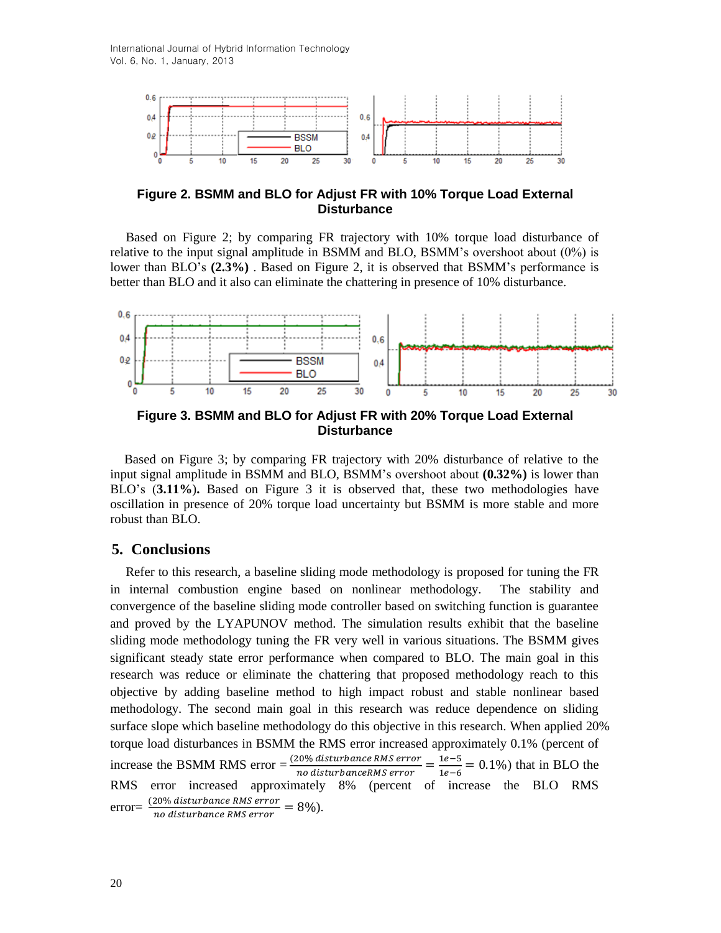International Journal of Hybrid Information Technology Vol. 6, No. 1, January, 2013



**Figure 2. BSMM and BLO for Adjust FR with 10% Torque Load External Disturbance**

Based on Figure 2; by comparing FR trajectory with 10% torque load disturbance of relative to the input signal amplitude in BSMM and BLO, BSMM's overshoot about (0%) is lower than BLO's **(2.3%)** . Based on Figure 2, it is observed that BSMM's performance is better than BLO and it also can eliminate the chattering in presence of 10% disturbance.



**Figure 3. BSMM and BLO for Adjust FR with 20% Torque Load External Disturbance**

Based on Figure 3; by comparing FR trajectory with 20% disturbance of relative to the input signal amplitude in BSMM and BLO, BSMM's overshoot about **(0.32%)** is lower than BLO's (**3.11%**)**.** Based on Figure 3 it is observed that, these two methodologies have oscillation in presence of 20% torque load uncertainty but BSMM is more stable and more robust than BLO.

## **5. Conclusions**

Refer to this research, a baseline sliding mode methodology is proposed for tuning the FR in internal combustion engine based on nonlinear methodology. The stability and convergence of the baseline sliding mode controller based on switching function is guarantee and proved by the LYAPUNOV method. The simulation results exhibit that the baseline sliding mode methodology tuning the FR very well in various situations. The BSMM gives significant steady state error performance when compared to BLO. The main goal in this research was reduce or eliminate the chattering that proposed methodology reach to this objective by adding baseline method to high impact robust and stable nonlinear based methodology. The second main goal in this research was reduce dependence on sliding surface slope which baseline methodology do this objective in this research. When applied 20% torque load disturbances in BSMM the RMS error increased approximately 0.1% (percent of increase the BSMM RMS error =  $(2)$  $\frac{20\% \, \textit{disturbance RMS error}}{n \, \textit{o}} = \frac{1}{160}$  $\frac{1e^{-3}}{1e^{-6}}$  = 0.1%) that in BLO the RMS error increased approximately 8% (percent of increase the BLO RMS error=  $\frac{(20\% \text{ disturbance RMS error}}{20 \text{ s distribution} \times 20 \text{ MS error}} = 8\%).$ no disturbance RMS error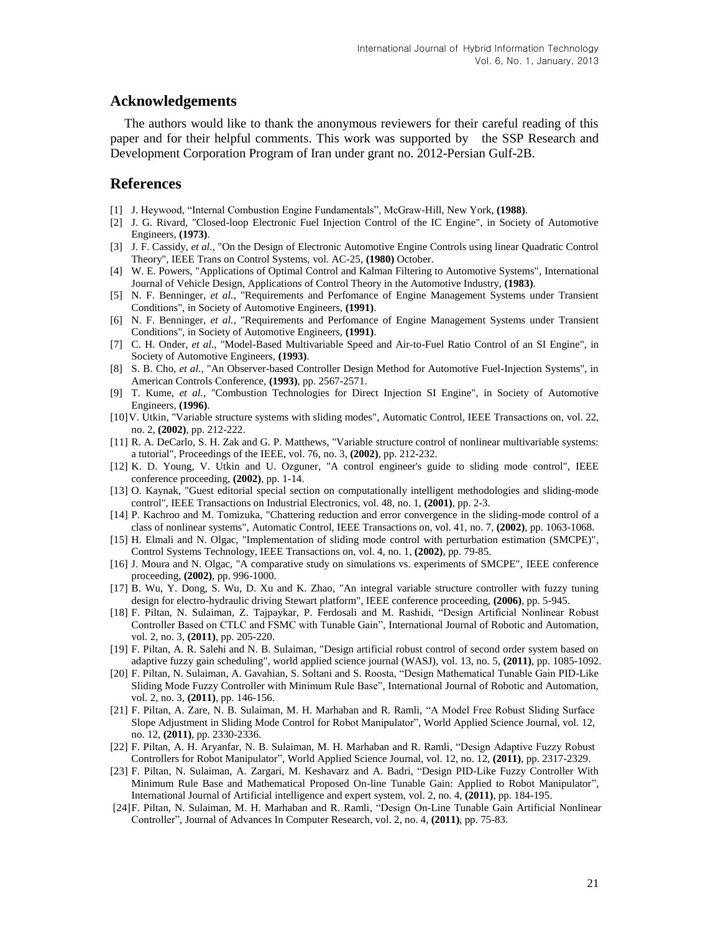### **Acknowledgements**

The authors would like to thank the anonymous reviewers for their careful reading of this paper and for their helpful comments. This work was supported by the SSP Research and Development Corporation Program of Iran under grant no. 2012-Persian Gulf-2B.

## **References**

- [1] J. Heywood, "Internal Combustion Engine Fundamentals", McGraw-Hill, New York, **(1988)**.
- [2] J. G. Rivard, "Closed-loop Electronic Fuel Injection Control of the IC Engine", in Society of Automotive Engineers, **(1973)**.
- [3] J. F. Cassidy, *et al.*, "On the Design of Electronic Automotive Engine Controls using linear Quadratic Control Theory", IEEE Trans on Control Systems, vol. AC-25, **(1980)** October.
- [4] W. E. Powers, "Applications of Optimal Control and Kalman Filtering to Automotive Systems", International Journal of Vehicle Design, Applications of Control Theory in the Automotive Industry, **(1983)**.
- [5] N. F. Benninger, *et al.*, "Requirements and Perfomance of Engine Management Systems under Transient Conditions", in Society of Automotive Engineers, **(1991)**.
- [6] N. F. Benninger, *et al.*, "Requirements and Perfomance of Engine Management Systems under Transient Conditions", in Society of Automotive Engineers, **(1991)**.
- [7] C. H. Onder, *et al.*, "Model-Based Multivariable Speed and Air-to-Fuel Ratio Control of an SI Engine", in Society of Automotive Engineers, **(1993)**.
- [8] S. B. Cho, *et al.*, "An Observer-based Controller Design Method for Automotive Fuel-Injection Systems", in American Controls Conference, **(1993)**, pp. 2567-2571.
- [9] T. Kume, *et al.*, "Combustion Technologies for Direct Injection SI Engine", in Society of Automotive Engineers, **(1996)**.
- [10]V. Utkin, "Variable structure systems with sliding modes", Automatic Control, IEEE Transactions on, vol. 22, no. 2, **(2002)**, pp. 212-222.
- [11] R. A. DeCarlo, S. H. Zak and G. P. Matthews, "Variable structure control of nonlinear multivariable systems: a tutorial", Proceedings of the IEEE, vol. 76, no. 3, **(2002)**, pp. 212-232.
- [12] K. D. Young, V. Utkin and U. Ozguner, "A control engineer's guide to sliding mode control", IEEE conference proceeding, **(2002)**, pp. 1-14.
- [13] O. Kaynak, "Guest editorial special section on computationally intelligent methodologies and sliding-mode control", IEEE Transactions on Industrial Electronics, vol. 48, no. 1, **(2001)**, pp. 2-3.
- [14] P. Kachroo and M. Tomizuka, "Chattering reduction and error convergence in the sliding-mode control of a class of nonlinear systems", Automatic Control, IEEE Transactions on, vol. 41, no. 7, **(2002)**, pp. 1063-1068.
- [15] H. Elmali and N. Olgac, "Implementation of sliding mode control with perturbation estimation (SMCPE)", Control Systems Technology, IEEE Transactions on, vol. 4, no. 1, **(2002)**, pp. 79-85.
- [16] J. Moura and N. Olgac, "A comparative study on simulations vs. experiments of SMCPE", IEEE conference proceeding, **(2002)**, pp. 996-1000.
- [17] B. Wu, Y. Dong, S. Wu, D. Xu and K. Zhao, "An integral variable structure controller with fuzzy tuning design for electro-hydraulic driving Stewart platform", IEEE conference proceeding, **(2006)**, pp. 5-945.
- [18] F. Piltan, N. Sulaiman, Z. Tajpaykar, P. Ferdosali and M. Rashidi, "Design Artificial Nonlinear Robust Controller Based on CTLC and FSMC with Tunable Gain", International Journal of Robotic and Automation, vol. 2, no. 3, **(2011)**, pp. 205-220.
- [19] F. Piltan, A. R. Salehi and N. B. Sulaiman, "Design artificial robust control of second order system based on adaptive fuzzy gain scheduling", world applied science journal (WASJ), vol. 13, no. 5, **(2011)**, pp. 1085-1092.
- [20] F. Piltan, N. Sulaiman, A. Gavahian, S. Soltani and S. Roosta, "Design Mathematical Tunable Gain PID-Like Sliding Mode Fuzzy Controller with Minimum Rule Base", International Journal of Robotic and Automation, vol. 2, no. 3, **(2011)**, pp. 146-156.
- [21] F. Piltan, A. Zare, N. B. Sulaiman, M. H. Marhaban and R. Ramli, "A Model Free Robust Sliding Surface Slope Adjustment in Sliding Mode Control for Robot Manipulator", World Applied Science Journal, vol. 12, no. 12, **(2011)**, pp. 2330-2336.
- [22] F. Piltan, A. H. Aryanfar, N. B. Sulaiman, M. H. Marhaban and R. Ramli, "Design Adaptive Fuzzy Robust Controllers for Robot Manipulator", World Applied Science Journal, vol. 12, no. 12, **(2011)**, pp. 2317-2329.
- [23] F. Piltan, N. Sulaiman, A. Zargari, M. Keshavarz and A. Badri, "Design PID-Like Fuzzy Controller With Minimum Rule Base and Mathematical Proposed On-line Tunable Gain: Applied to Robot Manipulator", International Journal of Artificial intelligence and expert system, vol. 2, no. 4, **(2011)**, pp. 184-195.
- [24]F. Piltan, N. Sulaiman, M. H. Marhaban and R. Ramli, "Design On-Line Tunable Gain Artificial Nonlinear Controller", Journal of Advances In Computer Research, vol. 2, no. 4, **(2011)**, pp. 75-83.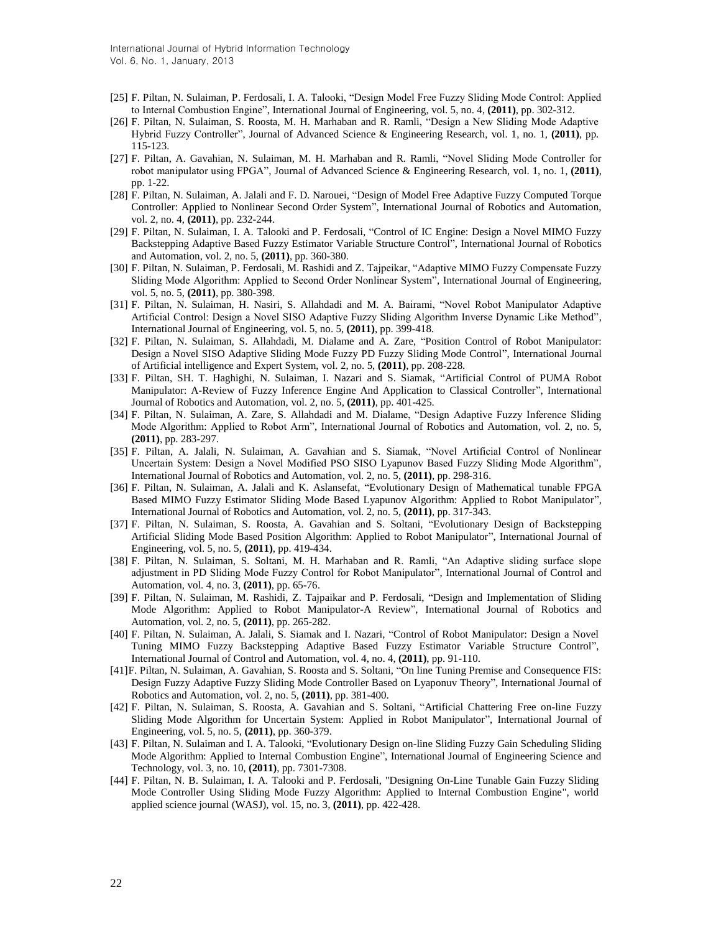- [25] F. Piltan, N. Sulaiman, P. Ferdosali, I. A. Talooki, "Design Model Free Fuzzy Sliding Mode Control: Applied to Internal Combustion Engine", International Journal of Engineering, vol. 5, no. 4, **(2011)**, pp. 302-312.
- [26] F. Piltan, N. Sulaiman, S. Roosta, M. H. Marhaban and R. Ramli, "Design a New Sliding Mode Adaptive Hybrid Fuzzy Controller", Journal of Advanced Science & Engineering Research, vol. 1, no. 1, **(2011)**, pp. 115-123.
- [27] F. Piltan, A. Gavahian, N. Sulaiman, M. H. Marhaban and R. Ramli, "Novel Sliding Mode Controller for robot manipulator using FPGA", Journal of Advanced Science & Engineering Research, vol. 1, no. 1, **(2011)**, pp. 1-22.
- [28] F. Piltan, N. Sulaiman, A. Jalali and F. D. Narouei, "Design of Model Free Adaptive Fuzzy Computed Torque Controller: Applied to Nonlinear Second Order System", International Journal of Robotics and Automation, vol. 2, no. 4, **(2011)**, pp. 232-244.
- [29] F. Piltan, N. Sulaiman, I. A. Talooki and P. Ferdosali, "Control of IC Engine: Design a Novel MIMO Fuzzy Backstepping Adaptive Based Fuzzy Estimator Variable Structure Control", International Journal of Robotics and Automation, vol. 2, no. 5, **(2011)**, pp. 360-380.
- [30] F. Piltan, N. Sulaiman, P. Ferdosali, M. Rashidi and Z. Tajpeikar, "Adaptive MIMO Fuzzy Compensate Fuzzy Sliding Mode Algorithm: Applied to Second Order Nonlinear System", International Journal of Engineering, vol. 5, no. 5, **(2011)**, pp. 380-398.
- [31] F. Piltan, N. Sulaiman, H. Nasiri, S. Allahdadi and M. A. Bairami, "Novel Robot Manipulator Adaptive Artificial Control: Design a Novel SISO Adaptive Fuzzy Sliding Algorithm Inverse Dynamic Like Method", International Journal of Engineering, vol. 5, no. 5, **(2011)**, pp. 399-418.
- [32] F. Piltan, N. Sulaiman, S. Allahdadi, M. Dialame and A. Zare, "Position Control of Robot Manipulator: Design a Novel SISO Adaptive Sliding Mode Fuzzy PD Fuzzy Sliding Mode Control", International Journal of Artificial intelligence and Expert System, vol. 2, no. 5, **(2011)**, pp. 208-228.
- [33] F. Piltan, SH. T. Haghighi, N. Sulaiman, I. Nazari and S. Siamak, "Artificial Control of PUMA Robot Manipulator: A-Review of Fuzzy Inference Engine And Application to Classical Controller", International Journal of Robotics and Automation, vol. 2, no. 5, **(2011)**, pp. 401-425.
- [34] F. Piltan, N. Sulaiman, A. Zare, S. Allahdadi and M. Dialame, "Design Adaptive Fuzzy Inference Sliding Mode Algorithm: Applied to Robot Arm", International Journal of Robotics and Automation, vol. 2, no. 5, **(2011)**, pp. 283-297.
- [35] F. Piltan, A. Jalali, N. Sulaiman, A. Gavahian and S. Siamak, "Novel Artificial Control of Nonlinear Uncertain System: Design a Novel Modified PSO SISO Lyapunov Based Fuzzy Sliding Mode Algorithm", International Journal of Robotics and Automation, vol. 2, no. 5, **(2011)**, pp. 298-316.
- [36] F. Piltan, N. Sulaiman, A. Jalali and K. Aslansefat, "Evolutionary Design of Mathematical tunable FPGA Based MIMO Fuzzy Estimator Sliding Mode Based Lyapunov Algorithm: Applied to Robot Manipulator", International Journal of Robotics and Automation, vol. 2, no. 5, **(2011)**, pp. 317-343.
- [37] F. Piltan, N. Sulaiman, S. Roosta, A. Gavahian and S. Soltani, "Evolutionary Design of Backstepping Artificial Sliding Mode Based Position Algorithm: Applied to Robot Manipulator", International Journal of Engineering, vol. 5, no. 5, **(2011)**, pp. 419-434.
- [38] F. Piltan, N. Sulaiman, S. Soltani, M. H. Marhaban and R. Ramli, "An Adaptive sliding surface slope adjustment in PD Sliding Mode Fuzzy Control for Robot Manipulator", International Journal of Control and Automation, vol. 4, no. 3, **(2011)**, pp. 65-76.
- [39] F. Piltan, N. Sulaiman, M. Rashidi, Z. Tajpaikar and P. Ferdosali, "Design and Implementation of Sliding Mode Algorithm: Applied to Robot Manipulator-A Review", International Journal of Robotics and Automation, vol. 2, no. 5, **(2011)**, pp. 265-282.
- [40] F. Piltan, N. Sulaiman, A. Jalali, S. Siamak and I. Nazari, "Control of Robot Manipulator: Design a Novel Tuning MIMO Fuzzy Backstepping Adaptive Based Fuzzy Estimator Variable Structure Control", International Journal of Control and Automation, vol. 4, no. 4, **(2011)**, pp. 91-110.
- [41]F. Piltan, N. Sulaiman, A. Gavahian, S. Roosta and S. Soltani, ["On line Tuning Premise and Consequence FIS:](http://www.cscjournals.org/csc/manuscriptinfo.php?ManuscriptCode=67.68.76.59.39.47.49.104&JCode=IJRA&EJCode=66.67.75.58.105&Volume=2&Issue=5)  [Design Fuzzy Adaptive Fuzzy Sliding Mode Controller Based on Lyaponuv Theory"](http://www.cscjournals.org/csc/manuscriptinfo.php?ManuscriptCode=67.68.76.59.39.47.49.104&JCode=IJRA&EJCode=66.67.75.58.105&Volume=2&Issue=5), International Journal of Robotics and Automation, vol. 2, no. 5, **(2011)**, pp. 381-400.
- [42] F. Piltan, N. Sulaiman, S. Roosta, A. Gavahian and S. Soltani, ["Artificial Chattering Free on-line Fuzzy](http://www.cscjournals.org/csc/manuscriptinfo.php?ManuscriptCode=68.69.64.40.46.44.44.103&JCode=IJE&EJCode=70.71.66.101&Volume=5&Issue=5)  [Sliding Mode Algorithm for Uncertain System: Applied in Robot Manipulator"](http://www.cscjournals.org/csc/manuscriptinfo.php?ManuscriptCode=68.69.64.40.46.44.44.103&JCode=IJE&EJCode=70.71.66.101&Volume=5&Issue=5), International Journal of Engineering, vol. 5, no. 5, **(2011)**, pp. 360-379.
- [43] F. Piltan, N. Sulaiman and I. A. Talooki, "Evolutionary Design on-line Sliding Fuzzy Gain Scheduling Sliding Mode Algorithm: Applied to Internal Combustion Engine", International Journal of Engineering Science and Technology, vol. 3, no. 10, **(2011)**, pp. 7301-7308.
- [44] F. Piltan, N. B. Sulaiman, I. A. Talooki and P. Ferdosali, "Designing On-Line Tunable Gain Fuzzy Sliding Mode Controller Using Sliding Mode Fuzzy Algorithm: Applied to Internal Combustion Engine", world applied science journal (WASJ), vol. 15, no. 3, **(2011)**, pp. 422-428.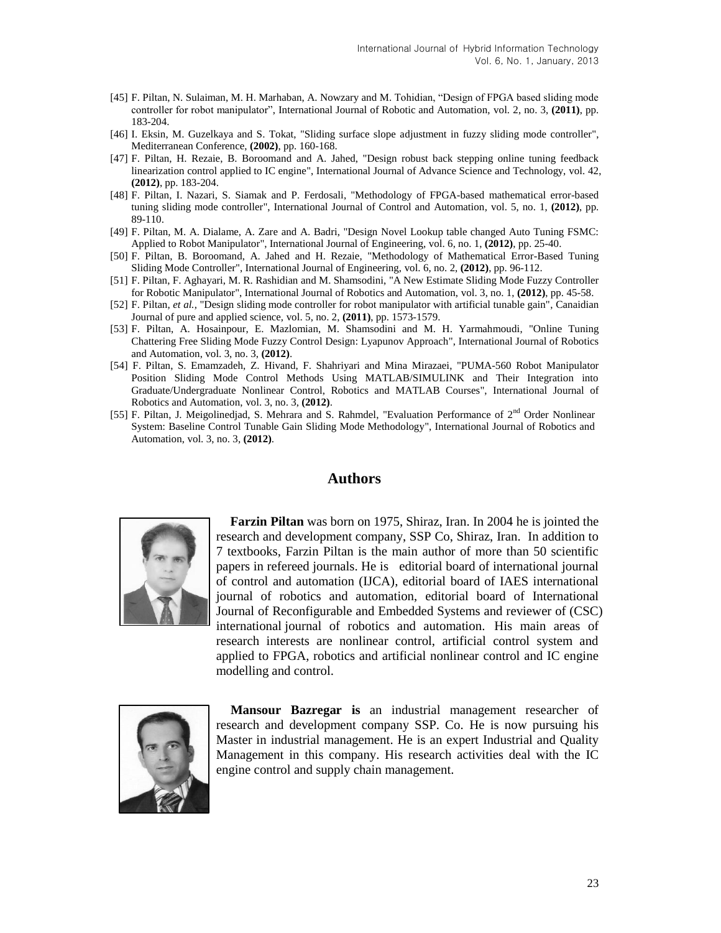- [45] F. Piltan, N. Sulaiman, M. H. Marhaban, A. Nowzary and M. Tohidian, "Design of FPGA based sliding mode controller for robot manipulator", International Journal of Robotic and Automation, vol. 2, no. 3, **(2011)**, pp. 183-204.
- [46] I. Eksin, M. Guzelkaya and S. Tokat, "Sliding surface slope adjustment in fuzzy sliding mode controller", Mediterranean Conference, **(2002)**, pp. 160-168.
- [47] F. Piltan, H. Rezaie, B. Boroomand and A. Jahed, "Design robust back stepping online tuning feedback linearization control applied to IC engine", International Journal of Advance Science and Technology, vol. 42, **(2012)**, pp. 183-204.
- [48] F. Piltan, I. Nazari, S. Siamak and P. Ferdosali, "Methodology of FPGA-based mathematical error-based tuning sliding mode controller", International Journal of Control and Automation, vol. 5, no. 1, **(2012)**, pp. 89-110.
- [49] F. Piltan, M. A. Dialame, A. Zare and A. Badri, "Design Novel Lookup table changed Auto Tuning FSMC: Applied to Robot Manipulator", International Journal of Engineering, vol. 6, no. 1, **(2012)**, pp. 25-40.
- [50] F. Piltan, B. Boroomand, A. Jahed and H. Rezaie, "Methodology of Mathematical Error-Based Tuning Sliding Mode Controller", International Journal of Engineering, vol. 6, no. 2, **(2012)**, pp. 96-112.
- [51] F. Piltan, F. Aghayari, M. R. Rashidian and M. Shamsodini, "A New Estimate Sliding Mode Fuzzy Controller for Robotic Manipulator", International Journal of Robotics and Automation, vol. 3, no. 1, **(2012)**, pp. 45-58.
- [52] F. Piltan, *et al.*, "Design sliding mode controller for robot manipulator with artificial tunable gain", Canaidian Journal of pure and applied science, vol. 5, no. 2, **(2011)**, pp. 1573-1579.
- [53] F. Piltan, A. Hosainpour, E. Mazlomian, M. Shamsodini and M. H. Yarmahmoudi, "Online Tuning Chattering Free Sliding Mode Fuzzy Control Design: Lyapunov Approach", International Journal of Robotics and Automation, vol. 3, no. 3, **(2012)**.
- [54] F. Piltan, S. Emamzadeh, Z. Hivand, F. Shahriyari and Mina Mirazaei, "PUMA-560 Robot Manipulator Position Sliding Mode Control Methods Using MATLAB/SIMULINK and Their Integration into Graduate/Undergraduate Nonlinear Control, Robotics and MATLAB Courses", International Journal of Robotics and Automation, vol. 3, no. 3, **(2012)**.
- [55] F. Piltan, J. Meigolinedjad, S. Mehrara and S. Rahmdel, "Evaluation Performance of 2<sup>nd</sup> Order Nonlinear System: Baseline Control Tunable Gain Sliding Mode Methodology", International Journal of Robotics and Automation, vol. 3, no. 3, **(2012)**.

#### **Authors**



**Farzin Piltan** was born on 1975, Shiraz, Iran. In 2004 he is jointed the research and development company, SSP Co, Shiraz, Iran. In addition to 7 textbooks, Farzin Piltan is the main author of more than 50 scientific papers in refereed journals. He is editorial board of international journal of control and automation (IJCA), editorial board of IAES international journal of robotics and automation, editorial board of International Journal of Reconfigurable and Embedded Systems and reviewer of (CSC) international journal of robotics and automation. His main areas of research interests are nonlinear control, artificial control system and applied to FPGA, robotics and artificial nonlinear control and IC engine modelling and control.



**Mansour Bazregar is** an industrial management researcher of research and development company SSP. Co. He is now pursuing his Master in industrial management. He is an expert Industrial and Quality Management in this company. His research activities deal with the IC engine control and supply chain management.